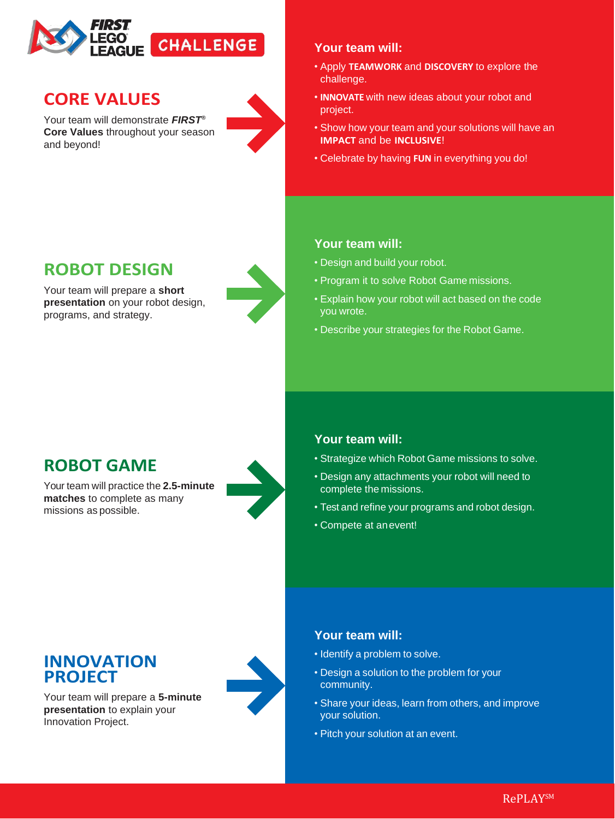

# **CORE VALUES**

Your team will demonstrate *FIRST®*  **Core Values** throughout your season and beyond!



#### **Your team will:**

- Apply **TEAMWORK** and **DISCOVERY** to explore the challenge.
- **INNOVATE** with new ideas about your robot and project.
- Show how your team and your solutions will have an **IMPACT** and be **INCLUSIVE**!
- Celebrate by having **FUN** in everything you do!

#### **Your team will:**

- Design and build your robot.
- Program it to solve Robot Game missions.
- Explain how your robot will act based on the code you wrote.
- Describe your strategies for the Robot Game.

## **ROBOT DESIGN**

Your team will prepare a **short presentation** on your robot design, programs, and strategy.



# **ROBOT GAME**

Your team will practice the **2.5-minute matches** to complete as many missions as possible.



#### **Your team will:**

- Strategize which Robot Game missions to solve.
- Design any attachments your robot will need to complete the missions.
- Test and refine your programs and robot design.
- Compete at anevent!

### **INNOVATION PROJECT**

Your team will prepare a **5-minute presentation** to explain your Innovation Project.



### **Your team will:**

- Identify a problem to solve.
- Design a solution to the problem for your community.
- Share your ideas, learn from others, and improve your solution.
- Pitch your solution at an event.